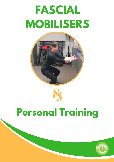# **FASCIAL MOBILISERS**





## **Personal Training**

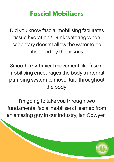### **Fascial Mobilisers**

Did you know fascial mobilising facilitates tissue hydration? Drink watering when sedentary doesn't allow the water to be absorbed by the tissues.

Smooth, rhythmical movement like fascial mobilising encourages the body's internal pumping system to move fluid throughout the body.

I'm going to take you through two fundamental facial mobilisers I learned from an amazing guy in our industry, Ian Odwyer.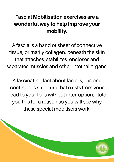#### Fascial Mobilisation exercises are a wonderful way to help improve your mobility.

A fascia is a band or sheet of connective tissue, primarily collagen, beneath the skin that attaches, stabilizes, encloses and separates muscles and other internal organs.

A fascinating fact about facia is, it is one continuous structure that exists from your head to your toes without interruption. I told you this for a reason so you will see why these special mobilisers work.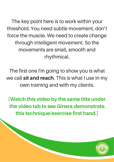The key point here is to work within your threshold. You need subtle movement, don't force the muscle. We need to create change through intelligent movement. So the movements are small, smooth and rhythmical.

The first one I'm going to show you is what we call sit and reach. This is what I use in my own training and with my clients.

[Watch this video by the same title under the video tab to see Ginera demonstrate this technique/exercise first hand.]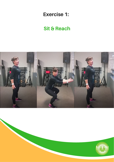#### Exercise 1:

#### Sit & Reach



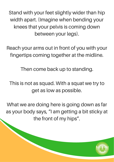Stand with your feet slightly wider than hip width apart. (Imagine when bending your knees that your pelvis is coming down between your legs).

Reach your arms out in front of you with your fingertips coming together at the midline.

Then come back up to standing.

This is not as squad. With a squat we try to get as low as possible.

What we are doing here is going down as far as your body says, "I am getting a bit sticky at the front of my hips".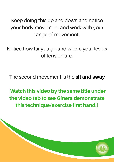Keep doing this up and down and notice your body movement and work with your range of movement.

Notice how far you go and where your levels of tension are.

The second movement is the sit and sway

[Watch this video by the same title under the video tab to see Ginera demonstrate this technique/exercise first hand.]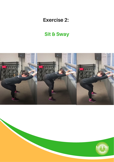#### Exercise 2:

#### Sit & Sway



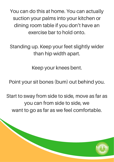You can do this at home. You can actually suction your palms into your kitchen or dining room table if you don't have an exercise bar to hold onto.

Standing up. Keep your feet slightly wider than hip width apart.

Keep your knees bent.

Point your sit bones (bum) out behind you.

Start to sway from side to side, move as far as you can from side to side, we want to go as far as we feel comfortable.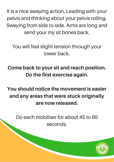It is a nice swaying action. Leading with your pelvis and thinking about your pelvis rolling. Swaying from side to side. Arms are long and send your my sit bones back.

You will feel slight tension through your lower back.

Come back to your sit and reach position. Do the first exercise again.

You should notice the movement is easier and any areas that were stuck originally are now released.

Do each mobiliser for about 45 to 60 seconds.